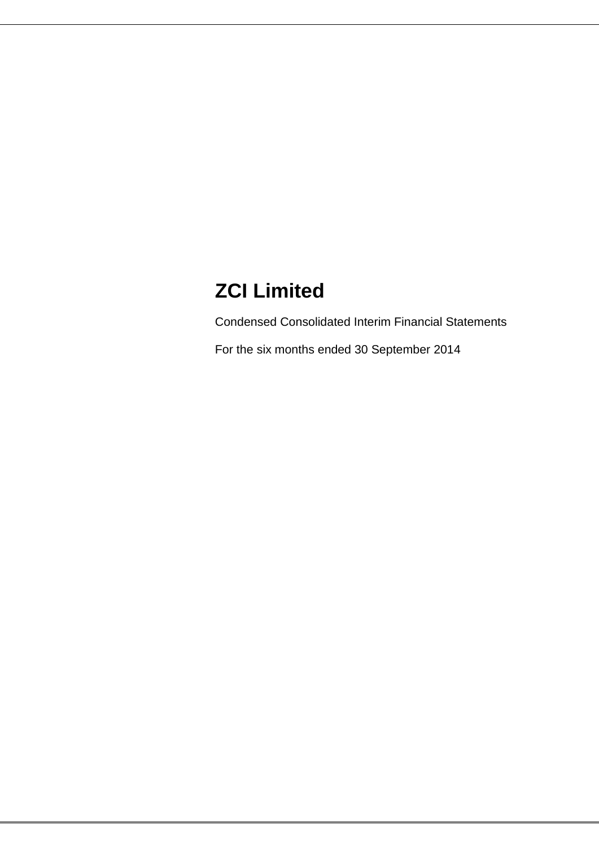# **ZCI Limited**

Condensed Consolidated Interim Financial Statements

For the six months ended 30 September 2014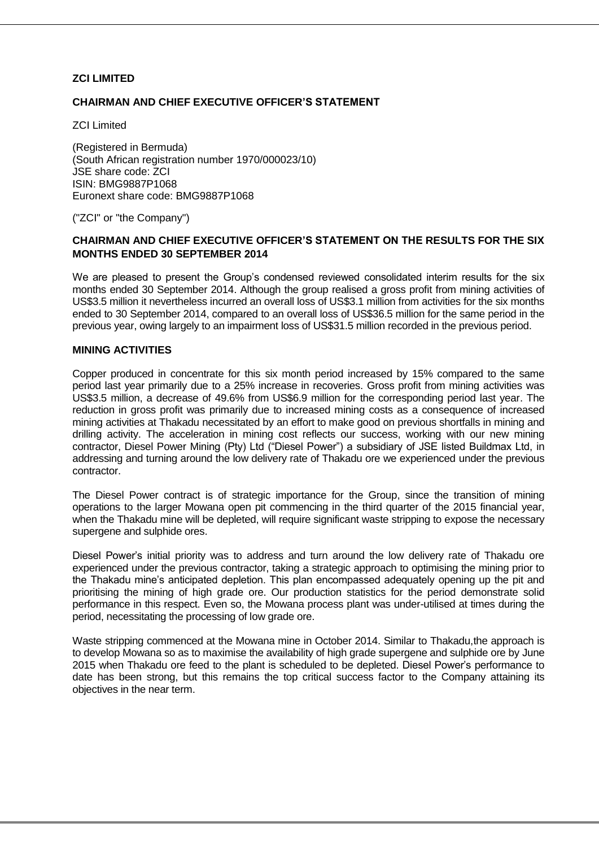### **ZCI LIMITED**

### **CHAIRMAN AND CHIEF EXECUTIVE OFFICER'S STATEMENT**

ZCI Limited

(Registered in Bermuda) (South African registration number 1970/000023/10) JSE share code: ZCI ISIN: BMG9887P1068 Euronext share code: BMG9887P1068

("ZCI" or "the Company")

### **CHAIRMAN AND CHIEF EXECUTIVE OFFICER'S STATEMENT ON THE RESULTS FOR THE SIX MONTHS ENDED 30 SEPTEMBER 2014**

We are pleased to present the Group's condensed reviewed consolidated interim results for the six months ended 30 September 2014. Although the group realised a gross profit from mining activities of US\$3.5 million it nevertheless incurred an overall loss of US\$3.1 million from activities for the six months ended to 30 September 2014, compared to an overall loss of US\$36.5 million for the same period in the previous year, owing largely to an impairment loss of US\$31.5 million recorded in the previous period.

### **MINING ACTIVITIES**

Copper produced in concentrate for this six month period increased by 15% compared to the same period last year primarily due to a 25% increase in recoveries. Gross profit from mining activities was US\$3.5 million, a decrease of 49.6% from US\$6.9 million for the corresponding period last year. The reduction in gross profit was primarily due to increased mining costs as a consequence of increased mining activities at Thakadu necessitated by an effort to make good on previous shortfalls in mining and drilling activity. The acceleration in mining cost reflects our success, working with our new mining contractor, Diesel Power Mining (Pty) Ltd ("Diesel Power") a subsidiary of JSE listed Buildmax Ltd, in addressing and turning around the low delivery rate of Thakadu ore we experienced under the previous contractor.

The Diesel Power contract is of strategic importance for the Group, since the transition of mining operations to the larger Mowana open pit commencing in the third quarter of the 2015 financial year, when the Thakadu mine will be depleted, will require significant waste stripping to expose the necessary supergene and sulphide ores.

Diesel Power"s initial priority was to address and turn around the low delivery rate of Thakadu ore experienced under the previous contractor, taking a strategic approach to optimising the mining prior to the Thakadu mine"s anticipated depletion. This plan encompassed adequately opening up the pit and prioritising the mining of high grade ore. Our production statistics for the period demonstrate solid performance in this respect. Even so, the Mowana process plant was under-utilised at times during the period, necessitating the processing of low grade ore.

Waste stripping commenced at the Mowana mine in October 2014. Similar to Thakadu,the approach is to develop Mowana so as to maximise the availability of high grade supergene and sulphide ore by June 2015 when Thakadu ore feed to the plant is scheduled to be depleted. Diesel Power"s performance to date has been strong, but this remains the top critical success factor to the Company attaining its objectives in the near term.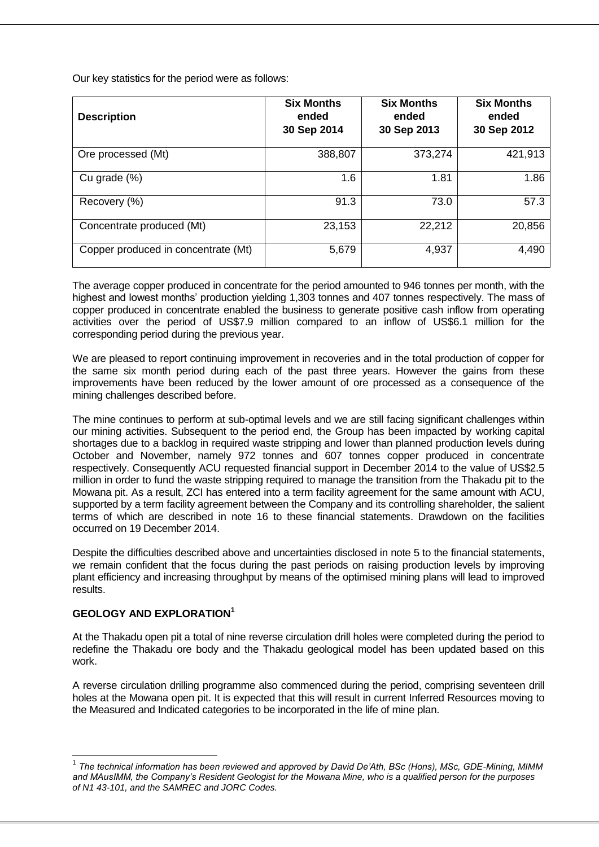Our key statistics for the period were as follows:

| <b>Description</b>                  | <b>Six Months</b><br>ended<br>30 Sep 2014 | <b>Six Months</b><br>ended<br>30 Sep 2013 | <b>Six Months</b><br>ended<br>30 Sep 2012 |
|-------------------------------------|-------------------------------------------|-------------------------------------------|-------------------------------------------|
| Ore processed (Mt)                  | 388,807                                   | 373,274                                   | 421,913                                   |
| Cu grade (%)                        | 1.6                                       | 1.81                                      | 1.86                                      |
| Recovery (%)                        | 91.3                                      | 73.0                                      | 57.3                                      |
| Concentrate produced (Mt)           | 23,153                                    | 22,212                                    | 20,856                                    |
| Copper produced in concentrate (Mt) | 5,679                                     | 4,937                                     | 4,490                                     |

The average copper produced in concentrate for the period amounted to 946 tonnes per month, with the highest and lowest months" production yielding 1,303 tonnes and 407 tonnes respectively. The mass of copper produced in concentrate enabled the business to generate positive cash inflow from operating activities over the period of US\$7.9 million compared to an inflow of US\$6.1 million for the corresponding period during the previous year.

We are pleased to report continuing improvement in recoveries and in the total production of copper for the same six month period during each of the past three years. However the gains from these improvements have been reduced by the lower amount of ore processed as a consequence of the mining challenges described before.

The mine continues to perform at sub-optimal levels and we are still facing significant challenges within our mining activities. Subsequent to the period end, the Group has been impacted by working capital shortages due to a backlog in required waste stripping and lower than planned production levels during October and November, namely 972 tonnes and 607 tonnes copper produced in concentrate respectively. Consequently ACU requested financial support in December 2014 to the value of US\$2.5 million in order to fund the waste stripping required to manage the transition from the Thakadu pit to the Mowana pit. As a result, ZCI has entered into a term facility agreement for the same amount with ACU, supported by a term facility agreement between the Company and its controlling shareholder, the salient terms of which are described in note 16 to these financial statements. Drawdown on the facilities occurred on 19 December 2014.

Despite the difficulties described above and uncertainties disclosed in note 5 to the financial statements, we remain confident that the focus during the past periods on raising production levels by improving plant efficiency and increasing throughput by means of the optimised mining plans will lead to improved results.

# **GEOLOGY AND EXPLORATION<sup>1</sup>**

1

At the Thakadu open pit a total of nine reverse circulation drill holes were completed during the period to redefine the Thakadu ore body and the Thakadu geological model has been updated based on this work.

A reverse circulation drilling programme also commenced during the period, comprising seventeen drill holes at the Mowana open pit. It is expected that this will result in current Inferred Resources moving to the Measured and Indicated categories to be incorporated in the life of mine plan.

<sup>1</sup> *The technical information has been reviewed and approved by David De'Ath, BSc (Hons), MSc, GDE-Mining, MIMM and MAusIMM, the Company's Resident Geologist for the Mowana Mine, who is a qualified person for the purposes of N1 43-101, and the SAMREC and JORC Codes.*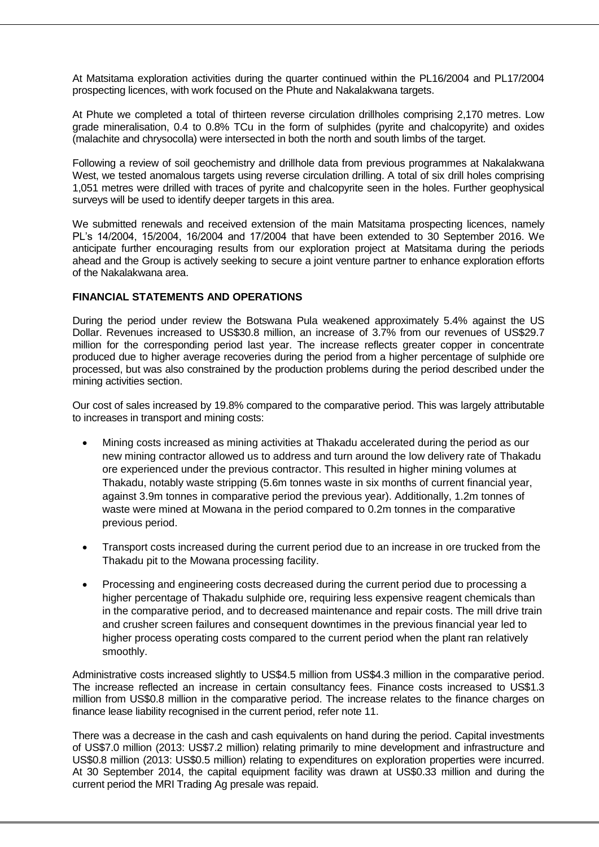At Matsitama exploration activities during the quarter continued within the PL16/2004 and PL17/2004 prospecting licences, with work focused on the Phute and Nakalakwana targets.

At Phute we completed a total of thirteen reverse circulation drillholes comprising 2,170 metres. Low grade mineralisation, 0.4 to 0.8% TCu in the form of sulphides (pyrite and chalcopyrite) and oxides (malachite and chrysocolla) were intersected in both the north and south limbs of the target.

Following a review of soil geochemistry and drillhole data from previous programmes at Nakalakwana West, we tested anomalous targets using reverse circulation drilling. A total of six drill holes comprising 1,051 metres were drilled with traces of pyrite and chalcopyrite seen in the holes. Further geophysical surveys will be used to identify deeper targets in this area.

We submitted renewals and received extension of the main Matsitama prospecting licences, namely PL"s 14/2004, 15/2004, 16/2004 and 17/2004 that have been extended to 30 September 2016. We anticipate further encouraging results from our exploration project at Matsitama during the periods ahead and the Group is actively seeking to secure a joint venture partner to enhance exploration efforts of the Nakalakwana area.

### **FINANCIAL STATEMENTS AND OPERATIONS**

During the period under review the Botswana Pula weakened approximately 5.4% against the US Dollar. Revenues increased to US\$30.8 million, an increase of 3.7% from our revenues of US\$29.7 million for the corresponding period last year. The increase reflects greater copper in concentrate produced due to higher average recoveries during the period from a higher percentage of sulphide ore processed, but was also constrained by the production problems during the period described under the mining activities section.

Our cost of sales increased by 19.8% compared to the comparative period. This was largely attributable to increases in transport and mining costs:

- Mining costs increased as mining activities at Thakadu accelerated during the period as our new mining contractor allowed us to address and turn around the low delivery rate of Thakadu ore experienced under the previous contractor. This resulted in higher mining volumes at Thakadu, notably waste stripping (5.6m tonnes waste in six months of current financial year, against 3.9m tonnes in comparative period the previous year). Additionally, 1.2m tonnes of waste were mined at Mowana in the period compared to 0.2m tonnes in the comparative previous period.
- Transport costs increased during the current period due to an increase in ore trucked from the Thakadu pit to the Mowana processing facility.
- Processing and engineering costs decreased during the current period due to processing a higher percentage of Thakadu sulphide ore, requiring less expensive reagent chemicals than in the comparative period, and to decreased maintenance and repair costs. The mill drive train and crusher screen failures and consequent downtimes in the previous financial year led to higher process operating costs compared to the current period when the plant ran relatively smoothly.

Administrative costs increased slightly to US\$4.5 million from US\$4.3 million in the comparative period. The increase reflected an increase in certain consultancy fees. Finance costs increased to US\$1.3 million from US\$0.8 million in the comparative period. The increase relates to the finance charges on finance lease liability recognised in the current period, refer note 11.

There was a decrease in the cash and cash equivalents on hand during the period. Capital investments of US\$7.0 million (2013: US\$7.2 million) relating primarily to mine development and infrastructure and US\$0.8 million (2013: US\$0.5 million) relating to expenditures on exploration properties were incurred. At 30 September 2014, the capital equipment facility was drawn at US\$0.33 million and during the current period the MRI Trading Ag presale was repaid.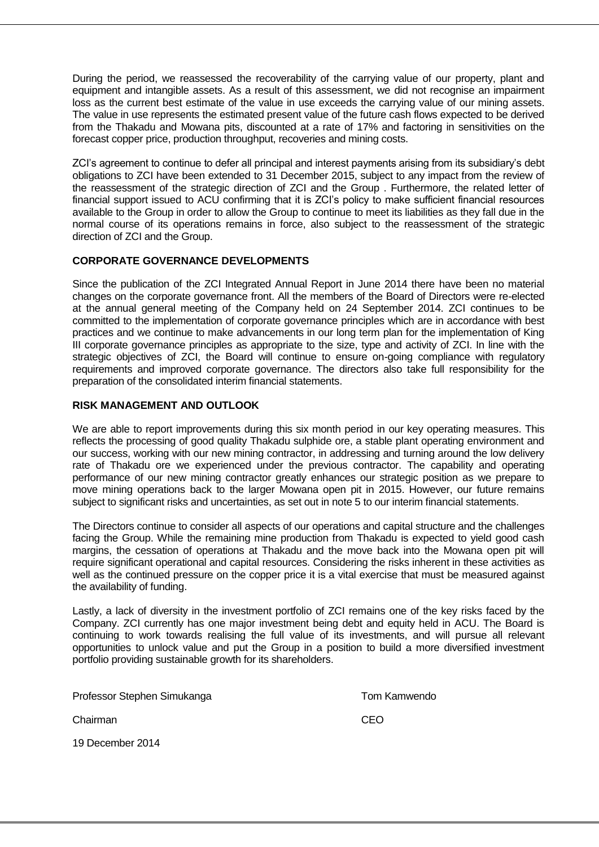During the period, we reassessed the recoverability of the carrying value of our property, plant and equipment and intangible assets. As a result of this assessment, we did not recognise an impairment loss as the current best estimate of the value in use exceeds the carrying value of our mining assets. The value in use represents the estimated present value of the future cash flows expected to be derived from the Thakadu and Mowana pits, discounted at a rate of 17% and factoring in sensitivities on the forecast copper price, production throughput, recoveries and mining costs.

ZCI"s agreement to continue to defer all principal and interest payments arising from its subsidiary"s debt obligations to ZCI have been extended to 31 December 2015, subject to any impact from the review of the reassessment of the strategic direction of ZCI and the Group . Furthermore, the related letter of financial support issued to ACU confirming that it is ZCI"s policy to make sufficient financial resources available to the Group in order to allow the Group to continue to meet its liabilities as they fall due in the normal course of its operations remains in force, also subject to the reassessment of the strategic direction of ZCI and the Group.

### **CORPORATE GOVERNANCE DEVELOPMENTS**

Since the publication of the ZCI Integrated Annual Report in June 2014 there have been no material changes on the corporate governance front. All the members of the Board of Directors were re-elected at the annual general meeting of the Company held on 24 September 2014. ZCI continues to be committed to the implementation of corporate governance principles which are in accordance with best practices and we continue to make advancements in our long term plan for the implementation of King III corporate governance principles as appropriate to the size, type and activity of ZCI. In line with the strategic objectives of ZCI, the Board will continue to ensure on-going compliance with regulatory requirements and improved corporate governance. The directors also take full responsibility for the preparation of the consolidated interim financial statements.

### **RISK MANAGEMENT AND OUTLOOK**

We are able to report improvements during this six month period in our key operating measures. This reflects the processing of good quality Thakadu sulphide ore, a stable plant operating environment and our success, working with our new mining contractor, in addressing and turning around the low delivery rate of Thakadu ore we experienced under the previous contractor. The capability and operating performance of our new mining contractor greatly enhances our strategic position as we prepare to move mining operations back to the larger Mowana open pit in 2015. However, our future remains subject to significant risks and uncertainties, as set out in note 5 to our interim financial statements.

The Directors continue to consider all aspects of our operations and capital structure and the challenges facing the Group. While the remaining mine production from Thakadu is expected to yield good cash margins, the cessation of operations at Thakadu and the move back into the Mowana open pit will require significant operational and capital resources. Considering the risks inherent in these activities as well as the continued pressure on the copper price it is a vital exercise that must be measured against the availability of funding.

Lastly, a lack of diversity in the investment portfolio of ZCI remains one of the key risks faced by the Company. ZCI currently has one major investment being debt and equity held in ACU. The Board is continuing to work towards realising the full value of its investments, and will pursue all relevant opportunities to unlock value and put the Group in a position to build a more diversified investment portfolio providing sustainable growth for its shareholders.

| Professor Stephen Simukanga |
|-----------------------------|
|-----------------------------|

**Tom Kamwendo** 

Chairman CEO

19 December 2014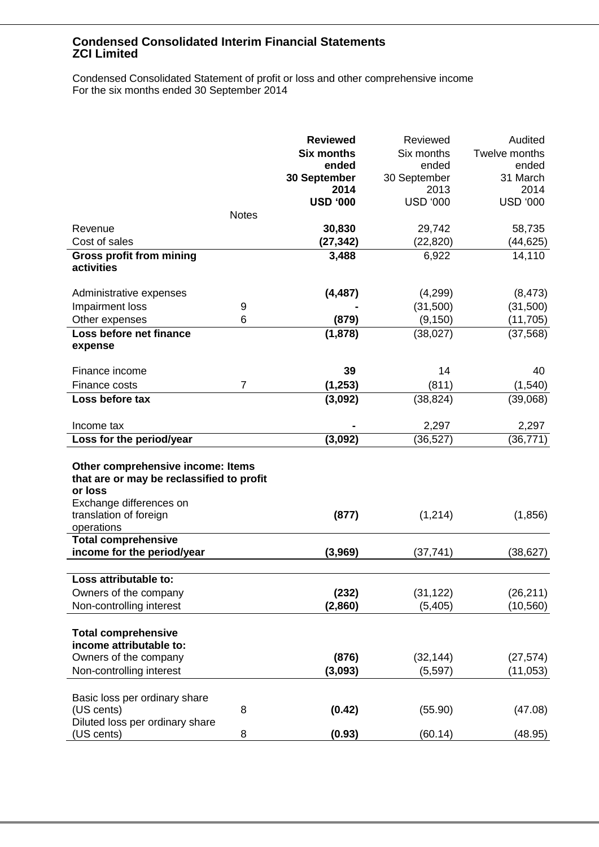Condensed Consolidated Statement of profit or loss and other comprehensive income For the six months ended 30 September 2014

|                                           |                | <b>Reviewed</b>   | Reviewed        | Audited         |
|-------------------------------------------|----------------|-------------------|-----------------|-----------------|
|                                           |                | <b>Six months</b> | Six months      | Twelve months   |
|                                           |                | ended             | ended           | ended           |
|                                           |                | 30 September      | 30 September    | 31 March        |
|                                           |                | 2014              | 2013            | 2014            |
|                                           |                | <b>USD '000</b>   | <b>USD '000</b> | <b>USD '000</b> |
|                                           | <b>Notes</b>   |                   |                 |                 |
| Revenue                                   |                | 30,830            | 29,742          | 58,735          |
| Cost of sales                             |                | (27, 342)         | (22, 820)       | (44, 625)       |
| <b>Gross profit from mining</b>           |                | 3,488             | 6,922           | 14,110          |
| activities                                |                |                   |                 |                 |
|                                           |                |                   |                 |                 |
| Administrative expenses                   |                | (4, 487)          | (4,299)         | (8, 473)        |
| Impairment loss                           | 9              |                   | (31,500)        | (31,500)        |
| Other expenses                            | 6              | (879)             | (9, 150)        | (11, 705)       |
| Loss before net finance                   |                | (1,878)           | (38, 027)       | (37, 568)       |
| expense                                   |                |                   |                 |                 |
|                                           |                |                   |                 |                 |
| Finance income                            |                | 39                | 14              | 40              |
| Finance costs                             | $\overline{7}$ | (1, 253)          | (811)           | (1, 540)        |
| Loss before tax                           |                | (3,092)           | (38, 824)       | (39,068)        |
|                                           |                |                   |                 |                 |
| Income tax                                |                |                   | 2,297           | 2,297           |
| Loss for the period/year                  |                | (3,092)           | (36, 527)       | (36, 771)       |
|                                           |                |                   |                 |                 |
| Other comprehensive income: Items         |                |                   |                 |                 |
| that are or may be reclassified to profit |                |                   |                 |                 |
| or loss                                   |                |                   |                 |                 |
| Exchange differences on                   |                |                   |                 |                 |
| translation of foreign                    |                | (877)             | (1,214)         | (1,856)         |
| operations                                |                |                   |                 |                 |
| <b>Total comprehensive</b>                |                |                   |                 |                 |
| income for the period/year                |                | (3,969)           | (37, 741)       | (38, 627)       |
|                                           |                |                   |                 |                 |
| oss attributable to:                      |                |                   |                 |                 |
| Owners of the company                     |                | (232)             | (31, 122)       | (26, 211)       |
| Non-controlling interest                  |                | (2,860)           | (5, 405)        | (10, 560)       |
|                                           |                |                   |                 |                 |
| <b>Total comprehensive</b>                |                |                   |                 |                 |
| income attributable to:                   |                |                   |                 |                 |
| Owners of the company                     |                | (876)             | (32, 144)       | (27, 574)       |
| Non-controlling interest                  |                | (3,093)           | (5, 597)        | (11, 053)       |
|                                           |                |                   |                 |                 |
| Basic loss per ordinary share             |                |                   |                 |                 |
| (US cents)                                | 8              | (0.42)            | (55.90)         | (47.08)         |
| Diluted loss per ordinary share           |                |                   |                 |                 |
| (US cents)                                | 8              | (0.93)            | (60.14)         | (48.95)         |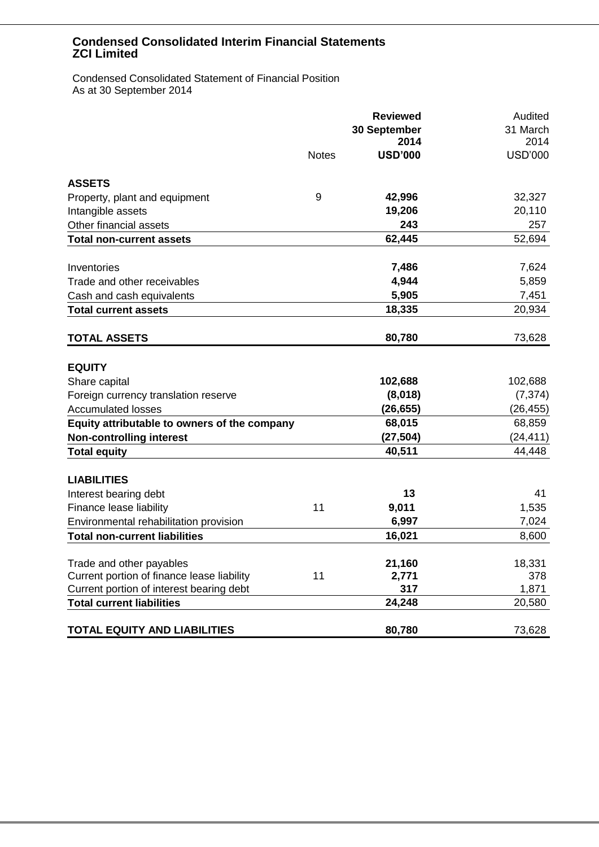Condensed Consolidated Statement of Financial Position As at 30 September 2014

|                                              | <b>Reviewed</b><br>30 September<br>2014 |                | Audited<br>31 March<br>2014 |
|----------------------------------------------|-----------------------------------------|----------------|-----------------------------|
|                                              | <b>Notes</b>                            | <b>USD'000</b> | <b>USD'000</b>              |
| <b>ASSETS</b>                                |                                         |                |                             |
| Property, plant and equipment                | 9                                       | 42,996         | 32,327                      |
| Intangible assets                            |                                         | 19,206         | 20,110                      |
| Other financial assets                       |                                         | 243            | 257                         |
| <b>Total non-current assets</b>              |                                         | 62,445         | 52,694                      |
| Inventories                                  |                                         | 7,486          | 7,624                       |
| Trade and other receivables                  |                                         | 4,944          | 5,859                       |
| Cash and cash equivalents                    |                                         | 5,905          | 7,451                       |
| <b>Total current assets</b>                  |                                         | 18,335         | 20,934                      |
| <b>TOTAL ASSETS</b>                          |                                         | 80,780         | 73,628                      |
| <b>EQUITY</b>                                |                                         |                |                             |
| Share capital                                |                                         | 102,688        | 102,688                     |
| Foreign currency translation reserve         |                                         | (8,018)        | (7, 374)                    |
| <b>Accumulated losses</b>                    |                                         | (26, 655)      | (26, 455)                   |
| Equity attributable to owners of the company |                                         | 68,015         | 68,859                      |
| <b>Non-controlling interest</b>              |                                         | (27, 504)      | (24, 411)                   |
| <b>Total equity</b>                          |                                         | 40,511         | 44,448                      |
| <b>LIABILITIES</b>                           |                                         |                |                             |
| Interest bearing debt                        |                                         | 13             | 41                          |
| Finance lease liability                      | 11                                      | 9,011          | 1,535                       |
| Environmental rehabilitation provision       |                                         | 6,997          | 7,024                       |
| <b>Total non-current liabilities</b>         |                                         | 16,021         | 8,600                       |
| Trade and other payables                     |                                         | 21,160         | 18,331                      |
| Current portion of finance lease liability   | 11                                      | 2,771          | 378                         |
| Current portion of interest bearing debt     |                                         | 317            | 1,871                       |
| <b>Total current liabilities</b>             |                                         | 24,248         | 20,580                      |
| <b>TOTAL EQUITY AND LIABILITIES</b>          |                                         | 80,780         | 73,628                      |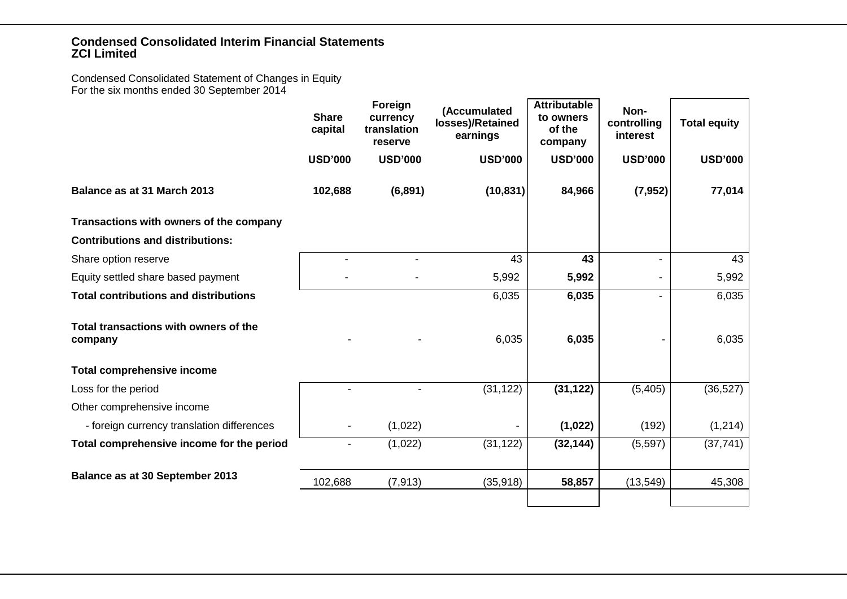Condensed Consolidated Statement of Changes in Equity For the six months ended 30 September 2014

|                                                  | <b>Share</b><br>capital | Foreign<br>currency<br>translation<br>reserve | (Accumulated<br>losses)/Retained<br>earnings | <b>Attributable</b><br>to owners<br>of the<br>company | Non-<br>controlling<br>interest | <b>Total equity</b> |
|--------------------------------------------------|-------------------------|-----------------------------------------------|----------------------------------------------|-------------------------------------------------------|---------------------------------|---------------------|
|                                                  | <b>USD'000</b>          | <b>USD'000</b>                                | <b>USD'000</b>                               | <b>USD'000</b>                                        | <b>USD'000</b>                  | <b>USD'000</b>      |
| Balance as at 31 March 2013                      | 102,688                 | (6, 891)                                      | (10, 831)                                    | 84,966                                                | (7, 952)                        | 77,014              |
| Transactions with owners of the company          |                         |                                               |                                              |                                                       |                                 |                     |
| <b>Contributions and distributions:</b>          |                         |                                               |                                              |                                                       |                                 |                     |
| Share option reserve                             |                         |                                               | 43                                           | 43                                                    |                                 | 43                  |
| Equity settled share based payment               |                         |                                               | 5,992                                        | 5,992                                                 |                                 | 5,992               |
| <b>Total contributions and distributions</b>     |                         |                                               | 6,035                                        | 6,035                                                 |                                 | 6,035               |
| Total transactions with owners of the<br>company |                         |                                               | 6,035                                        | 6,035                                                 |                                 | 6,035               |
| <b>Total comprehensive income</b>                |                         |                                               |                                              |                                                       |                                 |                     |
| Loss for the period                              |                         |                                               | (31, 122)                                    | (31, 122)                                             | (5, 405)                        | (36, 527)           |
| Other comprehensive income                       |                         |                                               |                                              |                                                       |                                 |                     |
| - foreign currency translation differences       |                         | (1,022)                                       |                                              | (1,022)                                               | (192)                           | (1, 214)            |
| Total comprehensive income for the period        |                         | (1,022)                                       | (31, 122)                                    | (32, 144)                                             | (5, 597)                        | (37, 741)           |
| Balance as at 30 September 2013                  | 102,688                 | (7, 913)                                      | (35, 918)                                    | 58,857                                                | (13, 549)                       | 45,308              |
|                                                  |                         |                                               |                                              |                                                       |                                 |                     |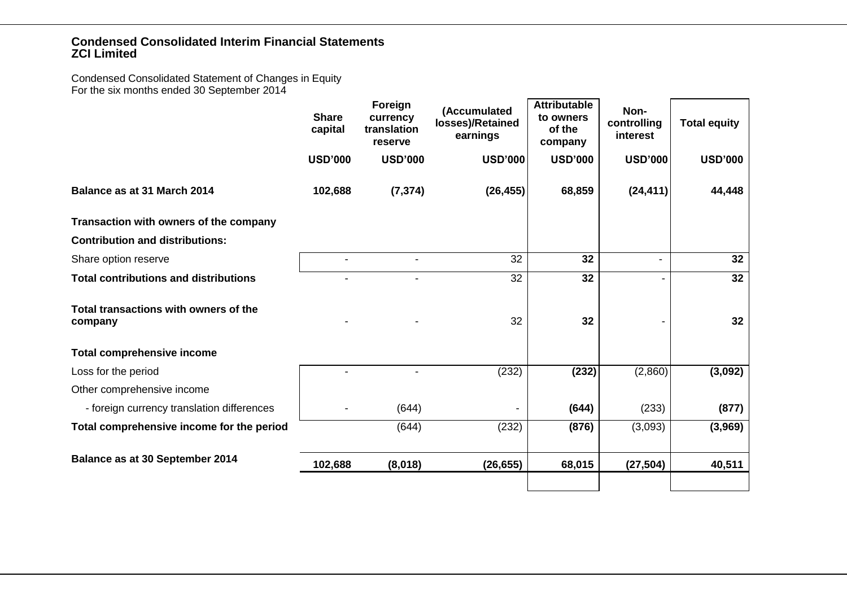Condensed Consolidated Statement of Changes in Equity For the six months ended 30 September 2014

|                                                  | <b>Share</b><br>capital | Foreign<br>currency<br>translation<br>reserve | (Accumulated<br>losses)/Retained<br>earnings | <b>Attributable</b><br>to owners<br>of the<br>company | Non-<br>controlling<br>interest | <b>Total equity</b> |
|--------------------------------------------------|-------------------------|-----------------------------------------------|----------------------------------------------|-------------------------------------------------------|---------------------------------|---------------------|
|                                                  | <b>USD'000</b>          | <b>USD'000</b>                                | <b>USD'000</b>                               | <b>USD'000</b>                                        | <b>USD'000</b>                  | <b>USD'000</b>      |
| Balance as at 31 March 2014                      | 102,688                 | (7, 374)                                      | (26, 455)                                    | 68,859                                                | (24, 411)                       | 44,448              |
| Transaction with owners of the company           |                         |                                               |                                              |                                                       |                                 |                     |
| <b>Contribution and distributions:</b>           |                         |                                               |                                              |                                                       |                                 |                     |
| Share option reserve                             |                         | $\blacksquare$                                | 32                                           | 32                                                    |                                 | 32                  |
| <b>Total contributions and distributions</b>     |                         |                                               | 32                                           | 32                                                    |                                 | 32                  |
| Total transactions with owners of the<br>company |                         |                                               | 32                                           | 32                                                    |                                 | 32                  |
| <b>Total comprehensive income</b>                |                         |                                               |                                              |                                                       |                                 |                     |
| Loss for the period                              |                         |                                               | (232)                                        | (232)                                                 | (2,860)                         | (3,092)             |
| Other comprehensive income                       |                         |                                               |                                              |                                                       |                                 |                     |
| - foreign currency translation differences       |                         | (644)                                         |                                              | (644)                                                 | (233)                           | (877)               |
| Total comprehensive income for the period        |                         | (644)                                         | (232)                                        | (876)                                                 | (3,093)                         | (3,969)             |
| Balance as at 30 September 2014                  | 102,688                 | (8,018)                                       | (26, 655)                                    | 68,015                                                | (27, 504)                       | 40,511              |
|                                                  |                         |                                               |                                              |                                                       |                                 |                     |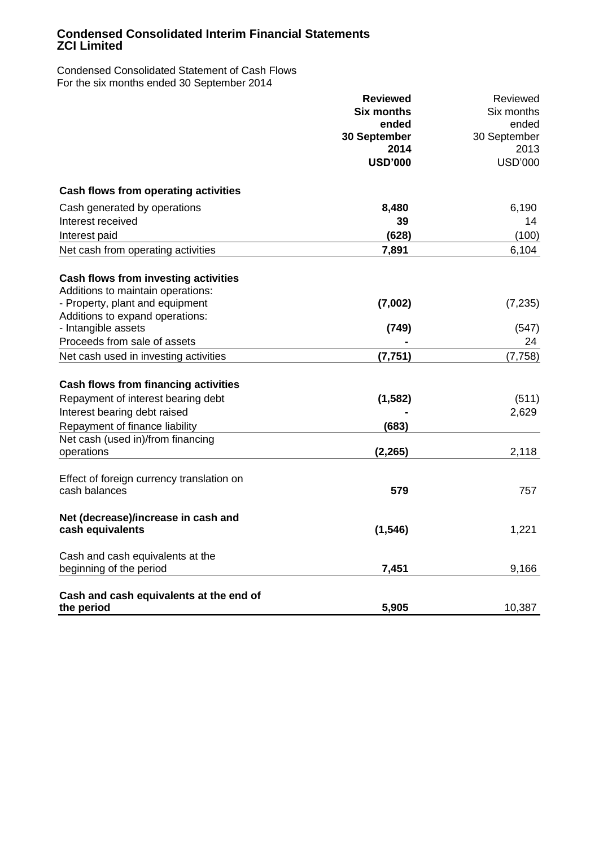Condensed Consolidated Statement of Cash Flows For the six months ended 30 September 2014

|                                             | <b>Reviewed</b>   | Reviewed       |
|---------------------------------------------|-------------------|----------------|
|                                             | <b>Six months</b> | Six months     |
|                                             | ended             | ended          |
|                                             | 30 September      | 30 September   |
|                                             | 2014              | 2013           |
|                                             | <b>USD'000</b>    | <b>USD'000</b> |
| Cash flows from operating activities        |                   |                |
| Cash generated by operations                | 8,480             | 6,190          |
| Interest received                           | 39                | 14             |
| Interest paid                               | (628)             | (100)          |
| Net cash from operating activities          | 7,891             | 6,104          |
| Cash flows from investing activities        |                   |                |
| Additions to maintain operations:           |                   |                |
| - Property, plant and equipment             | (7,002)           | (7, 235)       |
| Additions to expand operations:             |                   |                |
| - Intangible assets                         | (749)             | (547)          |
| Proceeds from sale of assets                |                   | 24             |
| Net cash used in investing activities       | (7, 751)          | (7, 758)       |
| <b>Cash flows from financing activities</b> |                   |                |
| Repayment of interest bearing debt          | (1, 582)          | (511)          |
| Interest bearing debt raised                |                   | 2,629          |
| Repayment of finance liability              | (683)             |                |
| Net cash (used in)/from financing           |                   |                |
| operations                                  | (2, 265)          | 2,118          |
| Effect of foreign currency translation on   |                   |                |
| cash balances                               | 579               | 757            |
| Net (decrease)/increase in cash and         |                   |                |
| cash equivalents                            | (1, 546)          | 1,221          |
| Cash and cash equivalents at the            |                   |                |
| beginning of the period                     | 7,451             | 9,166          |
| Cash and cash equivalents at the end of     |                   |                |
| the period                                  | 5,905             | 10,387         |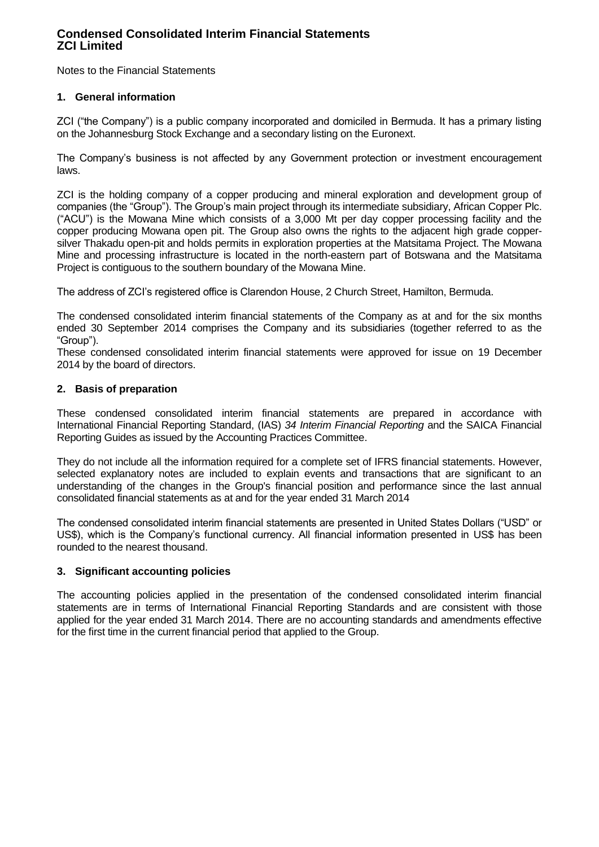Notes to the Financial Statements

### **1. General information**

ZCI ("the Company") is a public company incorporated and domiciled in Bermuda. It has a primary listing on the Johannesburg Stock Exchange and a secondary listing on the Euronext.

The Company"s business is not affected by any Government protection or investment encouragement laws.

ZCI is the holding company of a copper producing and mineral exploration and development group of companies (the "Group"). The Group"s main project through its intermediate subsidiary, African Copper Plc. ("ACU") is the Mowana Mine which consists of a 3,000 Mt per day copper processing facility and the copper producing Mowana open pit. The Group also owns the rights to the adjacent high grade coppersilver Thakadu open-pit and holds permits in exploration properties at the Matsitama Project. The Mowana Mine and processing infrastructure is located in the north-eastern part of Botswana and the Matsitama Project is contiguous to the southern boundary of the Mowana Mine.

The address of ZCI"s registered office is Clarendon House, 2 Church Street, Hamilton, Bermuda.

The condensed consolidated interim financial statements of the Company as at and for the six months ended 30 September 2014 comprises the Company and its subsidiaries (together referred to as the "Group").

These condensed consolidated interim financial statements were approved for issue on 19 December 2014 by the board of directors.

### **2. Basis of preparation**

These condensed consolidated interim financial statements are prepared in accordance with International Financial Reporting Standard, (IAS) *34 Interim Financial Reporting* and the SAICA Financial Reporting Guides as issued by the Accounting Practices Committee.

They do not include all the information required for a complete set of IFRS financial statements. However, selected explanatory notes are included to explain events and transactions that are significant to an understanding of the changes in the Group's financial position and performance since the last annual consolidated financial statements as at and for the year ended 31 March 2014

The condensed consolidated interim financial statements are presented in United States Dollars ("USD" or US\$), which is the Company"s functional currency. All financial information presented in US\$ has been rounded to the nearest thousand.

# **3. Significant accounting policies**

The accounting policies applied in the presentation of the condensed consolidated interim financial statements are in terms of International Financial Reporting Standards and are consistent with those applied for the year ended 31 March 2014. There are no accounting standards and amendments effective for the first time in the current financial period that applied to the Group.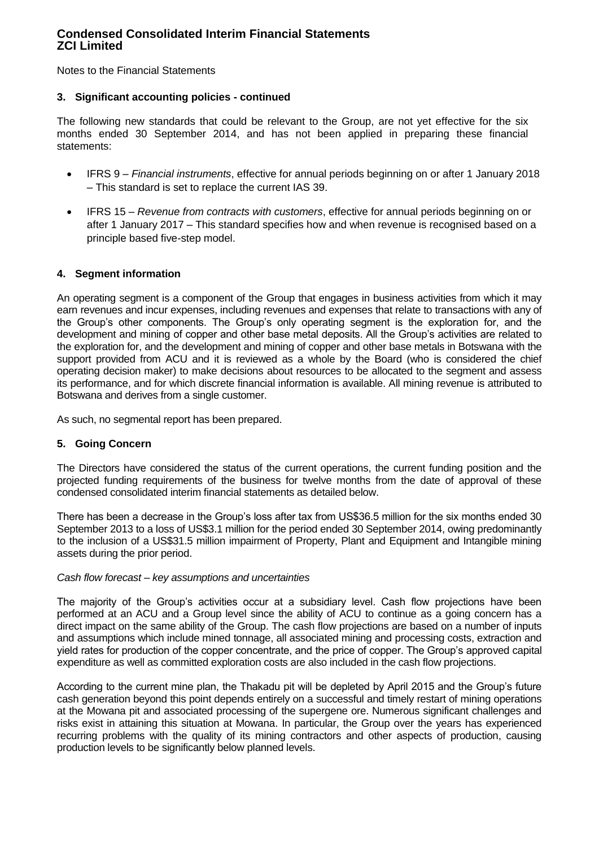Notes to the Financial Statements

### **3. Significant accounting policies - continued**

The following new standards that could be relevant to the Group, are not yet effective for the six months ended 30 September 2014, and has not been applied in preparing these financial statements:

- IFRS 9 *Financial instruments*, effective for annual periods beginning on or after 1 January 2018 – This standard is set to replace the current IAS 39.
- IFRS 15 *Revenue from contracts with customers*, effective for annual periods beginning on or after 1 January 2017 – This standard specifies how and when revenue is recognised based on a principle based five-step model.

### **4. Segment information**

An operating segment is a component of the Group that engages in business activities from which it may earn revenues and incur expenses, including revenues and expenses that relate to transactions with any of the Group"s other components. The Group"s only operating segment is the exploration for, and the development and mining of copper and other base metal deposits. All the Group"s activities are related to the exploration for, and the development and mining of copper and other base metals in Botswana with the support provided from ACU and it is reviewed as a whole by the Board (who is considered the chief operating decision maker) to make decisions about resources to be allocated to the segment and assess its performance, and for which discrete financial information is available. All mining revenue is attributed to Botswana and derives from a single customer.

As such, no segmental report has been prepared.

### **5. Going Concern**

The Directors have considered the status of the current operations, the current funding position and the projected funding requirements of the business for twelve months from the date of approval of these condensed consolidated interim financial statements as detailed below.

There has been a decrease in the Group"s loss after tax from US\$36.5 million for the six months ended 30 September 2013 to a loss of US\$3.1 million for the period ended 30 September 2014, owing predominantly to the inclusion of a US\$31.5 million impairment of Property, Plant and Equipment and Intangible mining assets during the prior period.

### *Cash flow forecast – key assumptions and uncertainties*

The majority of the Group's activities occur at a subsidiary level. Cash flow projections have been performed at an ACU and a Group level since the ability of ACU to continue as a going concern has a direct impact on the same ability of the Group. The cash flow projections are based on a number of inputs and assumptions which include mined tonnage, all associated mining and processing costs, extraction and yield rates for production of the copper concentrate, and the price of copper. The Group"s approved capital expenditure as well as committed exploration costs are also included in the cash flow projections.

According to the current mine plan, the Thakadu pit will be depleted by April 2015 and the Group"s future cash generation beyond this point depends entirely on a successful and timely restart of mining operations at the Mowana pit and associated processing of the supergene ore. Numerous significant challenges and risks exist in attaining this situation at Mowana. In particular, the Group over the years has experienced recurring problems with the quality of its mining contractors and other aspects of production, causing production levels to be significantly below planned levels.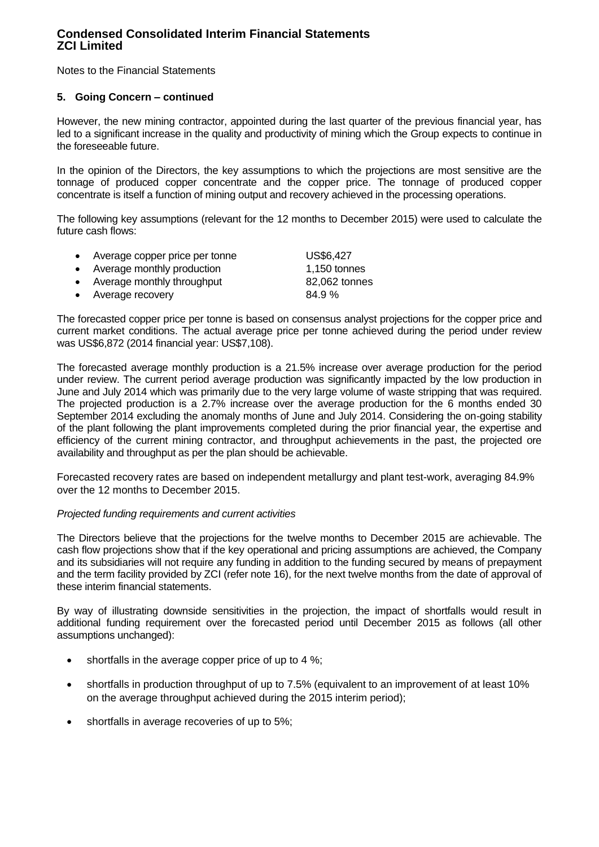Notes to the Financial Statements

### **5. Going Concern – continued**

However, the new mining contractor, appointed during the last quarter of the previous financial year, has led to a significant increase in the quality and productivity of mining which the Group expects to continue in the foreseeable future.

In the opinion of the Directors, the key assumptions to which the projections are most sensitive are the tonnage of produced copper concentrate and the copper price. The tonnage of produced copper concentrate is itself a function of mining output and recovery achieved in the processing operations.

The following key assumptions (relevant for the 12 months to December 2015) were used to calculate the future cash flows:

| • Average copper price per tonne | US\$6,427     |
|----------------------------------|---------------|
| • Average monthly production     | 1,150 tonnes  |
| • Average monthly throughput     | 82,062 tonnes |
| • Average recovery               | 84.9%         |

The forecasted copper price per tonne is based on consensus analyst projections for the copper price and current market conditions. The actual average price per tonne achieved during the period under review was US\$6,872 (2014 financial year: US\$7,108).

The forecasted average monthly production is a 21.5% increase over average production for the period under review. The current period average production was significantly impacted by the low production in June and July 2014 which was primarily due to the very large volume of waste stripping that was required. The projected production is a 2.7% increase over the average production for the 6 months ended 30 September 2014 excluding the anomaly months of June and July 2014. Considering the on-going stability of the plant following the plant improvements completed during the prior financial year, the expertise and efficiency of the current mining contractor, and throughput achievements in the past, the projected ore availability and throughput as per the plan should be achievable.

Forecasted recovery rates are based on independent metallurgy and plant test-work, averaging 84.9% over the 12 months to December 2015.

#### *Projected funding requirements and current activities*

The Directors believe that the projections for the twelve months to December 2015 are achievable. The cash flow projections show that if the key operational and pricing assumptions are achieved, the Company and its subsidiaries will not require any funding in addition to the funding secured by means of prepayment and the term facility provided by ZCI (refer note 16), for the next twelve months from the date of approval of these interim financial statements.

By way of illustrating downside sensitivities in the projection, the impact of shortfalls would result in additional funding requirement over the forecasted period until December 2015 as follows (all other assumptions unchanged):

- $\bullet$  shortfalls in the average copper price of up to 4 %;
- shortfalls in production throughput of up to 7.5% (equivalent to an improvement of at least 10% on the average throughput achieved during the 2015 interim period);
- shortfalls in average recoveries of up to 5%;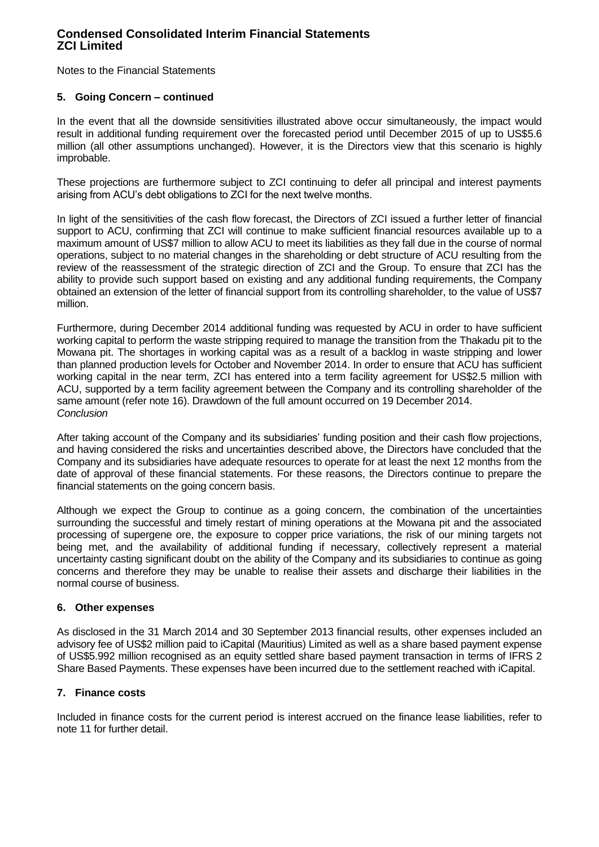Notes to the Financial Statements

### **5. Going Concern – continued**

In the event that all the downside sensitivities illustrated above occur simultaneously, the impact would result in additional funding requirement over the forecasted period until December 2015 of up to US\$5.6 million (all other assumptions unchanged). However, it is the Directors view that this scenario is highly improbable.

These projections are furthermore subject to ZCI continuing to defer all principal and interest payments arising from ACU"s debt obligations to ZCI for the next twelve months.

In light of the sensitivities of the cash flow forecast, the Directors of ZCI issued a further letter of financial support to ACU, confirming that ZCI will continue to make sufficient financial resources available up to a maximum amount of US\$7 million to allow ACU to meet its liabilities as they fall due in the course of normal operations, subject to no material changes in the shareholding or debt structure of ACU resulting from the review of the reassessment of the strategic direction of ZCI and the Group. To ensure that ZCI has the ability to provide such support based on existing and any additional funding requirements, the Company obtained an extension of the letter of financial support from its controlling shareholder, to the value of US\$7 million.

Furthermore, during December 2014 additional funding was requested by ACU in order to have sufficient working capital to perform the waste stripping required to manage the transition from the Thakadu pit to the Mowana pit. The shortages in working capital was as a result of a backlog in waste stripping and lower than planned production levels for October and November 2014. In order to ensure that ACU has sufficient working capital in the near term, ZCI has entered into a term facility agreement for US\$2.5 million with ACU, supported by a term facility agreement between the Company and its controlling shareholder of the same amount (refer note 16). Drawdown of the full amount occurred on 19 December 2014. *Conclusion*

After taking account of the Company and its subsidiaries" funding position and their cash flow projections, and having considered the risks and uncertainties described above, the Directors have concluded that the Company and its subsidiaries have adequate resources to operate for at least the next 12 months from the date of approval of these financial statements. For these reasons, the Directors continue to prepare the financial statements on the going concern basis.

Although we expect the Group to continue as a going concern, the combination of the uncertainties surrounding the successful and timely restart of mining operations at the Mowana pit and the associated processing of supergene ore, the exposure to copper price variations, the risk of our mining targets not being met, and the availability of additional funding if necessary, collectively represent a material uncertainty casting significant doubt on the ability of the Company and its subsidiaries to continue as going concerns and therefore they may be unable to realise their assets and discharge their liabilities in the normal course of business.

### **6. Other expenses**

As disclosed in the 31 March 2014 and 30 September 2013 financial results, other expenses included an advisory fee of US\$2 million paid to iCapital (Mauritius) Limited as well as a share based payment expense of US\$5.992 million recognised as an equity settled share based payment transaction in terms of IFRS 2 Share Based Payments. These expenses have been incurred due to the settlement reached with iCapital.

### **7. Finance costs**

Included in finance costs for the current period is interest accrued on the finance lease liabilities, refer to note 11 for further detail.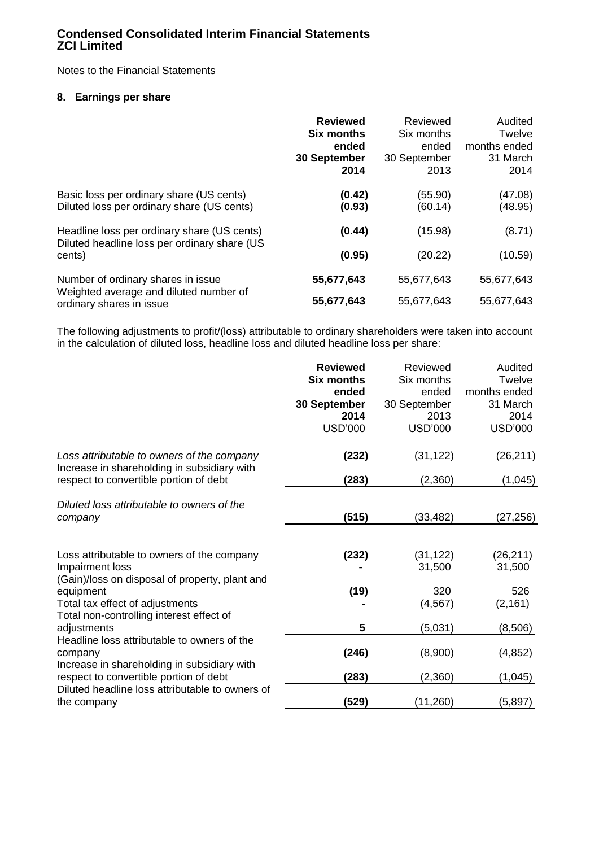Notes to the Financial Statements

### **8. Earnings per share**

|                                                                                             | <b>Reviewed</b><br><b>Six months</b><br>ended<br>30 September<br>2014 | Reviewed<br>Six months<br>ended<br>30 September<br>2013 | Audited<br>Twelve<br>months ended<br>31 March<br>2014 |
|---------------------------------------------------------------------------------------------|-----------------------------------------------------------------------|---------------------------------------------------------|-------------------------------------------------------|
| Basic loss per ordinary share (US cents)<br>Diluted loss per ordinary share (US cents)      | (0.42)<br>(0.93)                                                      | (55.90)<br>(60.14)                                      | (47.08)<br>(48.95)                                    |
| Headline loss per ordinary share (US cents)<br>Diluted headline loss per ordinary share (US | (0.44)                                                                | (15.98)                                                 | (8.71)                                                |
| cents)                                                                                      | (0.95)                                                                | (20.22)                                                 | (10.59)                                               |
| Number of ordinary shares in issue                                                          | 55,677,643                                                            | 55,677,643                                              | 55,677,643                                            |
| Weighted average and diluted number of<br>ordinary shares in issue                          | 55,677,643                                                            | 55,677,643                                              | 55,677,643                                            |

The following adjustments to profit/(loss) attributable to ordinary shareholders were taken into account in the calculation of diluted loss, headline loss and diluted headline loss per share:

|                                                                                                | <b>Reviewed</b><br><b>Six months</b><br>ended<br>30 September<br>2014<br><b>USD'000</b> | Reviewed<br>Six months<br>ended<br>30 September<br>2013<br><b>USD'000</b> | Audited<br>Twelve<br>months ended<br>31 March<br>2014<br><b>USD'000</b> |
|------------------------------------------------------------------------------------------------|-----------------------------------------------------------------------------------------|---------------------------------------------------------------------------|-------------------------------------------------------------------------|
| Loss attributable to owners of the company<br>Increase in shareholding in subsidiary with      | (232)                                                                                   | (31, 122)                                                                 | (26, 211)                                                               |
| respect to convertible portion of debt                                                         | (283)                                                                                   | (2,360)                                                                   | (1,045)                                                                 |
| Diluted loss attributable to owners of the<br>company                                          | (515)                                                                                   | (33,482)                                                                  | (27, 256)                                                               |
| Loss attributable to owners of the company<br>Impairment loss                                  | (232)                                                                                   | (31, 122)<br>31,500                                                       | (26, 211)<br>31,500                                                     |
| (Gain)/loss on disposal of property, plant and<br>equipment<br>Total tax effect of adjustments | (19)                                                                                    | 320<br>(4, 567)                                                           | 526<br>(2, 161)                                                         |
| Total non-controlling interest effect of<br>adjustments                                        | 5                                                                                       | (5,031)                                                                   | (8,506)                                                                 |
| Headline loss attributable to owners of the<br>company                                         | (246)                                                                                   | (8,900)                                                                   | (4, 852)                                                                |
| Increase in shareholding in subsidiary with<br>respect to convertible portion of debt          | (283)                                                                                   | (2,360)                                                                   | (1,045)                                                                 |
| Diluted headline loss attributable to owners of<br>the company                                 | (529)                                                                                   | (11,260)                                                                  | (5,897)                                                                 |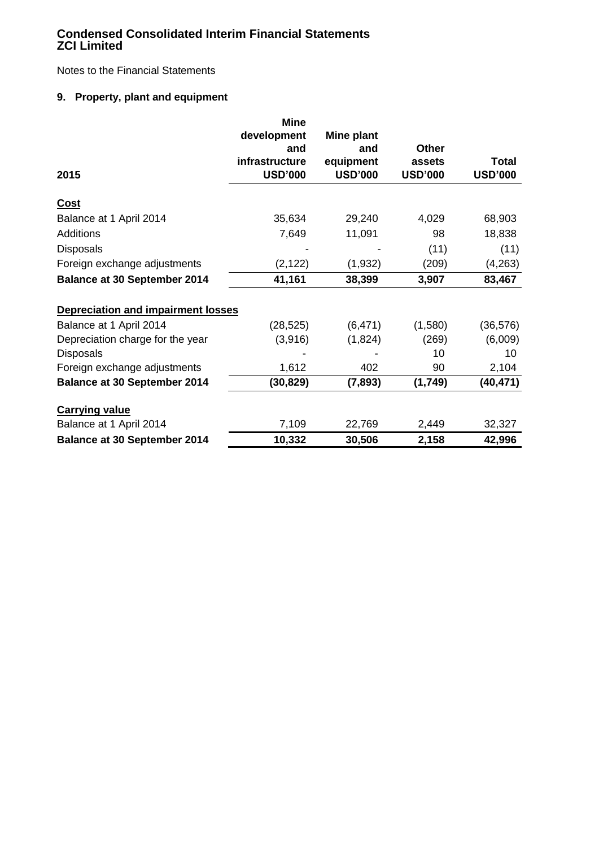Notes to the Financial Statements

# **9. Property, plant and equipment**

|                                           | <b>Mine</b>    |                |                |                |
|-------------------------------------------|----------------|----------------|----------------|----------------|
|                                           | development    | Mine plant     |                |                |
|                                           | and            | and            | <b>Other</b>   |                |
|                                           | infrastructure | equipment      | assets         | Total          |
| 2015                                      | <b>USD'000</b> | <b>USD'000</b> | <b>USD'000</b> | <b>USD'000</b> |
| Cost                                      |                |                |                |                |
| Balance at 1 April 2014                   | 35,634         | 29,240         | 4,029          | 68,903         |
| <b>Additions</b>                          | 7,649          | 11,091         | 98             | 18,838         |
| <b>Disposals</b>                          |                |                | (11)           | (11)           |
| Foreign exchange adjustments              | (2, 122)       | (1,932)        | (209)          | (4, 263)       |
| <b>Balance at 30 September 2014</b>       | 41,161         | 38,399         | 3,907          | 83,467         |
| <b>Depreciation and impairment losses</b> |                |                |                |                |
| Balance at 1 April 2014                   | (28, 525)      | (6, 471)       | (1,580)        | (36, 576)      |
| Depreciation charge for the year          | (3,916)        | (1,824)        | (269)          | (6,009)        |
| <b>Disposals</b>                          |                |                | 10             | 10             |
| Foreign exchange adjustments              | 1,612          | 402            | 90             | 2,104          |
| <b>Balance at 30 September 2014</b>       | (30, 829)      | (7,893)        | (1,749)        | (40, 471)      |
| <b>Carrying value</b>                     |                |                |                |                |
| Balance at 1 April 2014                   | 7,109          | 22,769         | 2,449          | 32,327         |
| <b>Balance at 30 September 2014</b>       | 10,332         | 30,506         | 2,158          | 42,996         |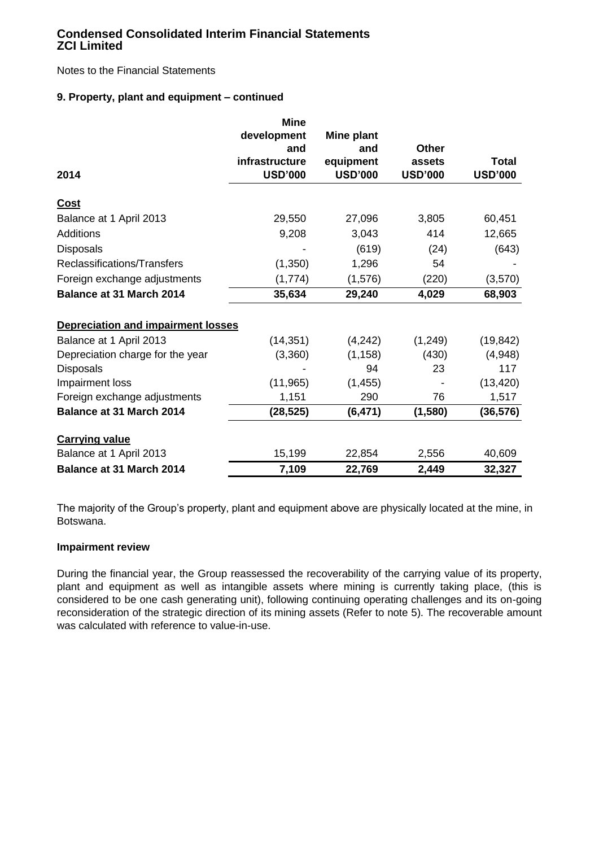Notes to the Financial Statements

# **9. Property, plant and equipment – continued**

|                                           | <b>Mine</b>    |                |                |                |
|-------------------------------------------|----------------|----------------|----------------|----------------|
|                                           | development    | Mine plant     |                |                |
|                                           | and            | and            | <b>Other</b>   |                |
|                                           | infrastructure | equipment      | assets         | <b>Total</b>   |
| 2014                                      | <b>USD'000</b> | <b>USD'000</b> | <b>USD'000</b> | <b>USD'000</b> |
| <b>Cost</b>                               |                |                |                |                |
| Balance at 1 April 2013                   | 29,550         | 27,096         | 3,805          | 60,451         |
| Additions                                 | 9,208          | 3,043          | 414            | 12,665         |
| <b>Disposals</b>                          |                | (619)          | (24)           | (643)          |
| Reclassifications/Transfers               | (1,350)        | 1,296          | 54             |                |
| Foreign exchange adjustments              | (1,774)        | (1,576)        | (220)          | (3,570)        |
| <b>Balance at 31 March 2014</b>           | 35,634         | 29,240         | 4,029          | 68,903         |
| <b>Depreciation and impairment losses</b> |                |                |                |                |
| Balance at 1 April 2013                   | (14, 351)      | (4,242)        | (1, 249)       | (19, 842)      |
| Depreciation charge for the year          | (3,360)        | (1, 158)       | (430)          | (4,948)        |
| <b>Disposals</b>                          |                | 94             | 23             | 117            |
| Impairment loss                           | (11, 965)      | (1, 455)       |                | (13, 420)      |
| Foreign exchange adjustments              | 1,151          | 290            | 76             | 1,517          |
| <b>Balance at 31 March 2014</b>           | (28, 525)      | (6, 471)       | (1,580)        | (36, 576)      |
| <b>Carrying value</b>                     |                |                |                |                |
| Balance at 1 April 2013                   | 15,199         | 22,854         | 2,556          | 40,609         |
| Balance at 31 March 2014                  | 7,109          | 22,769         | 2,449          | 32,327         |

The majority of the Group"s property, plant and equipment above are physically located at the mine, in Botswana.

### **Impairment review**

During the financial year, the Group reassessed the recoverability of the carrying value of its property, plant and equipment as well as intangible assets where mining is currently taking place, (this is considered to be one cash generating unit), following continuing operating challenges and its on-going reconsideration of the strategic direction of its mining assets (Refer to note 5). The recoverable amount was calculated with reference to value-in-use.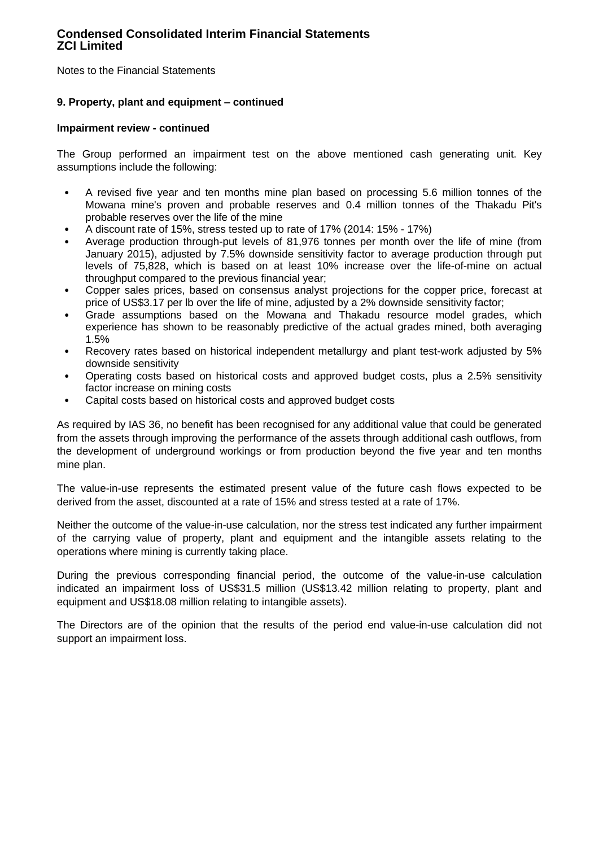Notes to the Financial Statements

### **9. Property, plant and equipment – continued**

### **Impairment review - continued**

The Group performed an impairment test on the above mentioned cash generating unit. Key assumptions include the following:

- A revised five year and ten months mine plan based on processing 5.6 million tonnes of the Mowana mine's proven and probable reserves and 0.4 million tonnes of the Thakadu Pit's probable reserves over the life of the mine
- A discount rate of 15%, stress tested up to rate of 17% (2014: 15% 17%)
- Average production through-put levels of 81,976 tonnes per month over the life of mine (from January 2015), adjusted by 7.5% downside sensitivity factor to average production through put levels of 75,828, which is based on at least 10% increase over the life-of-mine on actual throughput compared to the previous financial year;
- Copper sales prices, based on consensus analyst projections for the copper price, forecast at price of US\$3.17 per lb over the life of mine, adjusted by a 2% downside sensitivity factor;
- Grade assumptions based on the Mowana and Thakadu resource model grades, which experience has shown to be reasonably predictive of the actual grades mined, both averaging 1.5%
- Recovery rates based on historical independent metallurgy and plant test-work adjusted by 5% downside sensitivity
- Operating costs based on historical costs and approved budget costs, plus a 2.5% sensitivity factor increase on mining costs
- Capital costs based on historical costs and approved budget costs

As required by IAS 36, no benefit has been recognised for any additional value that could be generated from the assets through improving the performance of the assets through additional cash outflows, from the development of underground workings or from production beyond the five year and ten months mine plan.

The value-in-use represents the estimated present value of the future cash flows expected to be derived from the asset, discounted at a rate of 15% and stress tested at a rate of 17%.

Neither the outcome of the value-in-use calculation, nor the stress test indicated any further impairment of the carrying value of property, plant and equipment and the intangible assets relating to the operations where mining is currently taking place.

During the previous corresponding financial period, the outcome of the value-in-use calculation indicated an impairment loss of US\$31.5 million (US\$13.42 million relating to property, plant and equipment and US\$18.08 million relating to intangible assets).

The Directors are of the opinion that the results of the period end value-in-use calculation did not support an impairment loss.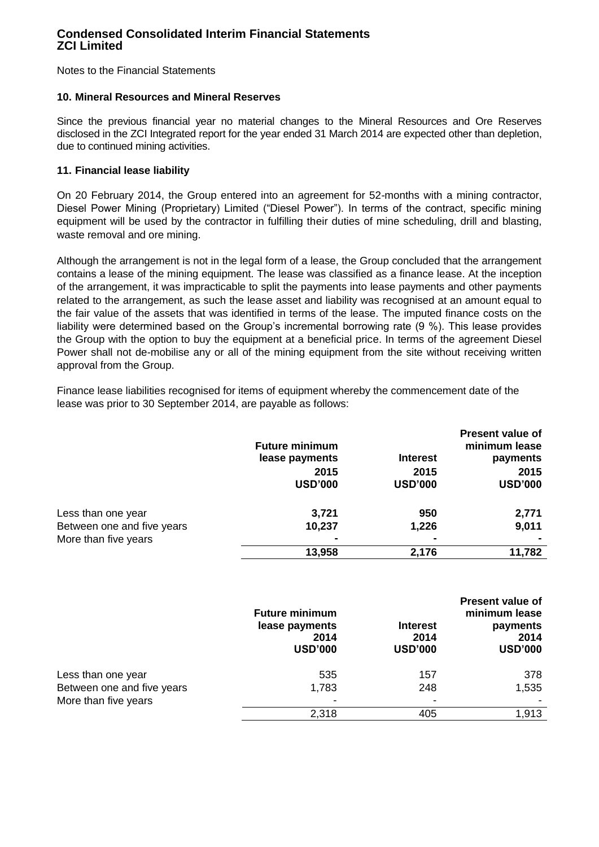Notes to the Financial Statements

### **10. Mineral Resources and Mineral Reserves**

Since the previous financial year no material changes to the Mineral Resources and Ore Reserves disclosed in the ZCI Integrated report for the year ended 31 March 2014 are expected other than depletion, due to continued mining activities.

### **11. Financial lease liability**

On 20 February 2014, the Group entered into an agreement for 52-months with a mining contractor, Diesel Power Mining (Proprietary) Limited ("Diesel Power"). In terms of the contract, specific mining equipment will be used by the contractor in fulfilling their duties of mine scheduling, drill and blasting, waste removal and ore mining.

Although the arrangement is not in the legal form of a lease, the Group concluded that the arrangement contains a lease of the mining equipment. The lease was classified as a finance lease. At the inception of the arrangement, it was impracticable to split the payments into lease payments and other payments related to the arrangement, as such the lease asset and liability was recognised at an amount equal to the fair value of the assets that was identified in terms of the lease. The imputed finance costs on the liability were determined based on the Group's incremental borrowing rate (9 %). This lease provides the Group with the option to buy the equipment at a beneficial price. In terms of the agreement Diesel Power shall not de-mobilise any or all of the mining equipment from the site without receiving written approval from the Group.

Finance lease liabilities recognised for items of equipment whereby the commencement date of the lease was prior to 30 September 2014, are payable as follows:

|                            | <b>Future minimum</b><br>lease payments | <b>Interest</b>        | <b>Present value of</b><br>minimum lease<br>payments |
|----------------------------|-----------------------------------------|------------------------|------------------------------------------------------|
|                            | 2015<br><b>USD'000</b>                  | 2015<br><b>USD'000</b> | 2015<br><b>USD'000</b>                               |
| Less than one year         | 3,721                                   | 950                    | 2,771                                                |
| Between one and five years | 10,237                                  | 1,226                  | 9,011                                                |
| More than five years       |                                         |                        |                                                      |
|                            | 13,958                                  | 2,176                  | 11,782                                               |

|                            | <b>Future minimum</b><br>lease payments<br>2014<br><b>USD'000</b> | <b>Interest</b><br>2014<br><b>USD'000</b> | <b>Present value of</b><br>minimum lease<br>payments<br>2014<br><b>USD'000</b> |
|----------------------------|-------------------------------------------------------------------|-------------------------------------------|--------------------------------------------------------------------------------|
| Less than one year         | 535                                                               | 157                                       | 378                                                                            |
| Between one and five years | 1,783                                                             | 248                                       | 1,535                                                                          |
| More than five years       | $\,$                                                              |                                           |                                                                                |
|                            | 2,318                                                             | 405                                       | 1,913                                                                          |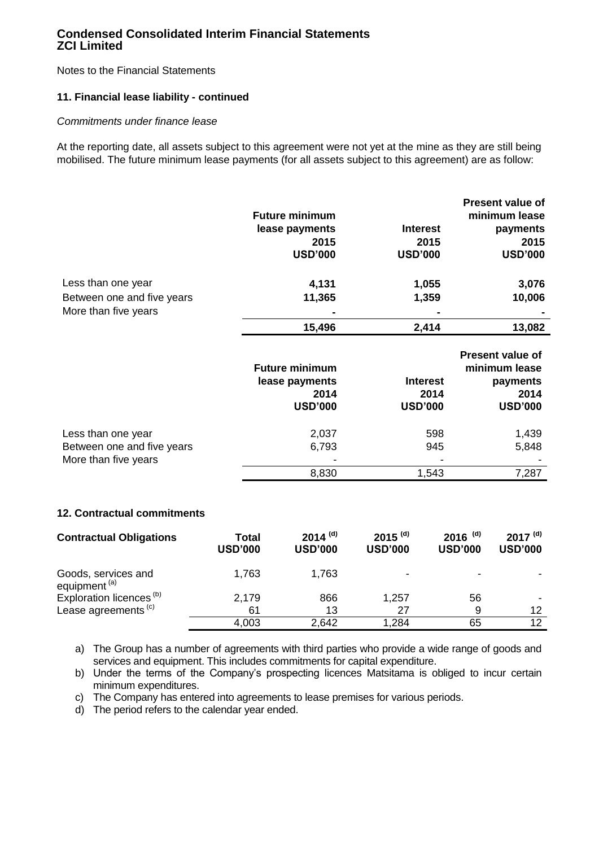Notes to the Financial Statements

### **11. Financial lease liability - continued**

### *Commitments under finance lease*

At the reporting date, all assets subject to this agreement were not yet at the mine as they are still being mobilised. The future minimum lease payments (for all assets subject to this agreement) are as follow:

|                                                                          |                |                       |                       |                       | <b>Present value of</b> |
|--------------------------------------------------------------------------|----------------|-----------------------|-----------------------|-----------------------|-------------------------|
|                                                                          |                | <b>Future minimum</b> |                       |                       | minimum lease           |
|                                                                          |                | lease payments        | <b>Interest</b>       |                       | payments                |
|                                                                          |                | 2015                  |                       | 2015                  | 2015                    |
|                                                                          |                | <b>USD'000</b>        | <b>USD'000</b>        |                       | <b>USD'000</b>          |
|                                                                          |                |                       |                       |                       |                         |
| Less than one year                                                       |                | 4,131                 |                       | 1,055                 | 3,076                   |
| Between one and five years                                               |                | 11,365<br>1,359       |                       |                       | 10,006                  |
| More than five years                                                     |                |                       |                       |                       |                         |
|                                                                          |                | 15,496                |                       | 2,414                 | 13,082                  |
|                                                                          |                |                       |                       |                       |                         |
|                                                                          |                |                       |                       |                       | <b>Present value of</b> |
|                                                                          |                | <b>Future minimum</b> |                       |                       | minimum lease           |
|                                                                          |                | lease payments        |                       | <b>Interest</b>       | payments                |
|                                                                          |                | 2014                  |                       | 2014                  | 2014                    |
|                                                                          |                | <b>USD'000</b>        | <b>USD'000</b>        |                       | <b>USD'000</b>          |
| Less than one year<br>Between one and five years<br>More than five years |                | 2,037                 |                       | 598                   | 1,439                   |
|                                                                          |                |                       | 945                   |                       |                         |
|                                                                          |                | 6,793                 |                       |                       | 5,848                   |
|                                                                          |                | 8,830                 |                       | 1,543                 | 7,287                   |
|                                                                          |                |                       |                       |                       |                         |
|                                                                          |                |                       |                       |                       |                         |
| 12. Contractual commitments                                              |                |                       |                       |                       |                         |
| <b>Contractual Obligations</b>                                           | <b>Total</b>   | $2014$ <sup>(d)</sup> | $2015$ <sup>(d)</sup> | $2016$ <sup>(d)</sup> | $2017^{(d)}$            |
|                                                                          | <b>USD'000</b> | <b>USD'000</b>        | <b>USD'000</b>        | <b>USD'000</b>        | <b>USD'000</b>          |
|                                                                          |                |                       |                       |                       |                         |

| Goods, services and                 | .763  | .763  |       | $\blacksquare$ |                          |
|-------------------------------------|-------|-------|-------|----------------|--------------------------|
| equipment <sup>(a)</sup>            |       |       |       |                |                          |
| Exploration licences <sup>(b)</sup> | 2.179 | 866   | 1,257 | 56             | $\overline{\phantom{a}}$ |
| Lease agreements <sup>(c)</sup>     | 61    | 13    |       |                | ៱                        |
|                                     | 4.003 | 2,642 | .284  |                |                          |

a) The Group has a number of agreements with third parties who provide a wide range of goods and services and equipment. This includes commitments for capital expenditure.

b) Under the terms of the Company's prospecting licences Matsitama is obliged to incur certain minimum expenditures.

c) The Company has entered into agreements to lease premises for various periods.

d) The period refers to the calendar year ended.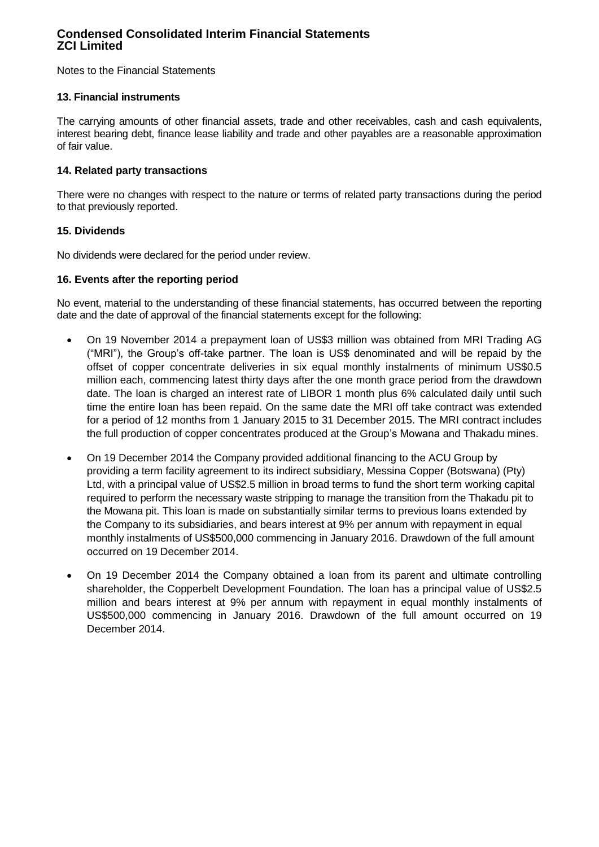Notes to the Financial Statements

### **13. Financial instruments**

The carrying amounts of other financial assets, trade and other receivables, cash and cash equivalents, interest bearing debt, finance lease liability and trade and other payables are a reasonable approximation of fair value.

### **14. Related party transactions**

There were no changes with respect to the nature or terms of related party transactions during the period to that previously reported.

### **15. Dividends**

No dividends were declared for the period under review.

### **16. Events after the reporting period**

No event, material to the understanding of these financial statements, has occurred between the reporting date and the date of approval of the financial statements except for the following:

- On 19 November 2014 a prepayment loan of US\$3 million was obtained from MRI Trading AG ("MRI"), the Group"s off-take partner. The loan is US\$ denominated and will be repaid by the offset of copper concentrate deliveries in six equal monthly instalments of minimum US\$0.5 million each, commencing latest thirty days after the one month grace period from the drawdown date. The loan is charged an interest rate of LIBOR 1 month plus 6% calculated daily until such time the entire loan has been repaid. On the same date the MRI off take contract was extended for a period of 12 months from 1 January 2015 to 31 December 2015. The MRI contract includes the full production of copper concentrates produced at the Group"s Mowana and Thakadu mines.
- On 19 December 2014 the Company provided additional financing to the ACU Group by providing a term facility agreement to its indirect subsidiary, Messina Copper (Botswana) (Pty) Ltd, with a principal value of US\$2.5 million in broad terms to fund the short term working capital required to perform the necessary waste stripping to manage the transition from the Thakadu pit to the Mowana pit. This loan is made on substantially similar terms to previous loans extended by the Company to its subsidiaries, and bears interest at 9% per annum with repayment in equal monthly instalments of US\$500,000 commencing in January 2016. Drawdown of the full amount occurred on 19 December 2014.
- On 19 December 2014 the Company obtained a loan from its parent and ultimate controlling shareholder, the Copperbelt Development Foundation. The loan has a principal value of US\$2.5 million and bears interest at 9% per annum with repayment in equal monthly instalments of US\$500,000 commencing in January 2016. Drawdown of the full amount occurred on 19 December 2014.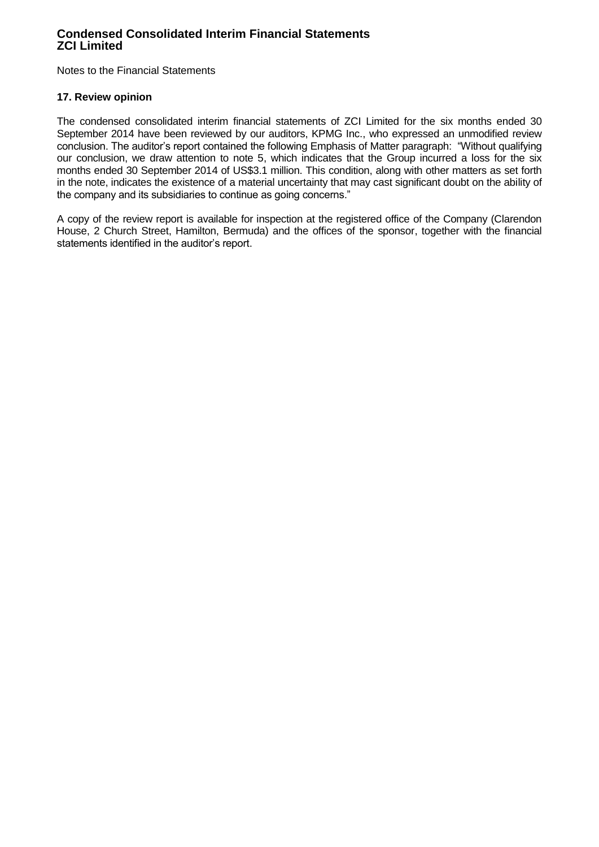Notes to the Financial Statements

### **17. Review opinion**

The condensed consolidated interim financial statements of ZCI Limited for the six months ended 30 September 2014 have been reviewed by our auditors, KPMG Inc., who expressed an unmodified review conclusion. The auditor"s report contained the following Emphasis of Matter paragraph: "Without qualifying our conclusion, we draw attention to note 5, which indicates that the Group incurred a loss for the six months ended 30 September 2014 of US\$3.1 million. This condition, along with other matters as set forth in the note, indicates the existence of a material uncertainty that may cast significant doubt on the ability of the company and its subsidiaries to continue as going concerns."

A copy of the review report is available for inspection at the registered office of the Company (Clarendon House, 2 Church Street, Hamilton, Bermuda) and the offices of the sponsor, together with the financial statements identified in the auditor's report.